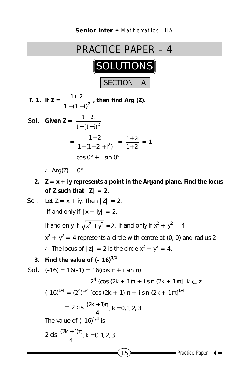

**Sol.** Given 
$$
Z = \frac{1+2i}{1-(1-i)^2}
$$
  
=  $\frac{1+2i}{1-(1-2i+i^2)} = \frac{1+2i}{1+2i} = 1$   
=  $\cos 0^\circ + i \sin 0^\circ$ 

∴ Arg(Z) =  $0^\circ$ 

**2. Z = x + iy represents a point in the Argand plane. Find the locus** of Z such that  $|Z| = 2$ .

**Sol.** Let 
$$
Z = x + iy
$$
. Then  $|Z| = 2$ .  
\nIf and only if  $|x + iy| = 2$ .  
\nIf and only if  $\sqrt{x^2 + y^2} = 2$ . If and only if  $x^2 + y^2 = 4$   
\n $x^2 + y^2 = 4$  represents a circle with centre at (0, 0) and radius 2!  
\n $\therefore$  The locus of  $|z| = 2$  is the circle  $x^2 + y^2 = 4$ .  
\n**3.** Find the value of  $(-16)^{1/4}$   
\n**Sol.**  $(-16) = 16(-1) = 16(\cos \pi + i \sin \pi)$   
\n $= 2^4 (\cos (2k + 1)\pi + i \sin (2k + 1)\pi), k \in Z$   
\n $(-16)^{1/4} = (2^4)^{1/4} [\cos (2k + 1) \pi + i \sin (2k + 1)\pi]^{1/4}$   
\n $= 2 \text{ cis } \frac{(2k + 1)\pi}{4}, k = 0, 1, 2, 3$   
\nThe value of  $(-16)^{1/4}$  is  
\n $2 \text{ cis } \frac{(2k + 1)\pi}{4}, k = 0, 1, 2, 3$   
\n**2**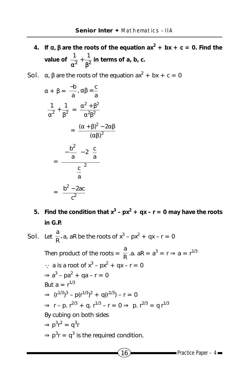- **4.** If  $\alpha$ , **β** are the roots of the equation  $ax^2 + bx + c = 0$ . Find the **value of**  $\frac{1}{\alpha^2} + \frac{1}{\beta^2}$  in terms of a, b, c.
- **Sol.**  $\alpha$ ,  $\beta$  are the roots of the equation  $ax^2 + bx + c = 0$

$$
\alpha + \beta = \frac{-b}{a}, \alpha\beta = \frac{c}{a}
$$

$$
\frac{1}{\alpha^2} + \frac{1}{\beta^2} = \frac{\alpha^2 + \beta^2}{\alpha^2\beta^2}
$$

$$
= \frac{(\alpha + \beta)^2 - 2\alpha\beta}{(\alpha\beta)^2}
$$

$$
= \frac{\left(-\frac{b^2}{a}\right) - 2\left(\frac{c}{a}\right)}{\left(\frac{c}{a}\right)^2}
$$

$$
= \frac{b^2 - 2ac}{c^2}
$$

5. Find the condition that  $x^3 - px^2 + qx - r = 0$  may have the roots **in G.P.**

**Sol.** Let 
$$
\frac{a}{R}
$$
, a, aR be the roots of  $x^3 - px^2 + qx - r = 0$ 

Then product of the roots  $=\frac{a}{R}$ .a. a $R = a^3 = r \Rightarrow a = r^{1/3}$  $\therefore$  a is a root of  $x^3 - px^2 + qx - r = 0$  $\Rightarrow$  a<sup>3</sup> – pa<sup>2</sup> + qa – r = 0 But  $a = r^{1/3}$  $\Rightarrow$   $(r^{1/3})^3 - p(r^{1/3})^2 + q(r^{1/3}) - r = 0$  $\Rightarrow$  r – p. r<sup>2/3</sup> + q. r<sup>1/3</sup> – r = 0  $\Rightarrow$  p. r<sup>2/3</sup> = q r<sup>1/3</sup> By cubing on both sides  $\Rightarrow$  p<sup>3</sup>r<sup>2</sup> = q<sup>3</sup>r  $\Rightarrow$  p<sup>3</sup>r = q<sup>3</sup> is the required condition.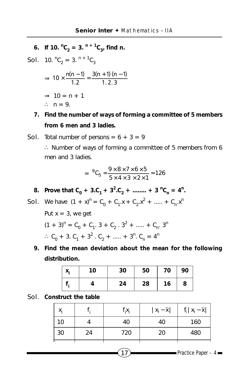**6.** If 10.  ${}^nC_2 = 3$ .  ${}^{n+1}C_3$ , find n.

**Sol.** 10.  ${}^nC_2 = 3$ .  ${}^{n+1}C_3$  $\Rightarrow 10 \times \frac{n(n-1)}{1.2} = \frac{3(n+1)(n-1)}{1.2.3}$  $\times \frac{n(n-1)}{n-2} = \frac{3(n+1)(n-1)}{n-2}$  $\Rightarrow$  10 = n + 1 ∴  $n = 9$ .

**7. Find the number of ways of forming a committee of 5 members from 6 men and 3 ladies.**

**Sol.** Total number of persons =  $6 + 3 = 9$ ∴ Number of ways of forming a committee of 5 members from 6 men and 3 ladies.

$$
= {}^{9}C_{5} = \frac{9 \times 8 \times 7 \times 6 \times 5}{5 \times 4 \times 3 \times 2 \times 1} = 126
$$

**8.** Prove that  $C_0 + 3.C_1 + 3^2.C_2 + \dots + 3^nC_n = 4^n$ .

**Sol.** We have  $(1 + x)^n = C_0 + C_1 x + C_2 x^2 + \dots + C_n x^n$ Put  $x = 3$ , we get  $(1 + 3)^n = C_0 + C_1$ .  $3 + C_2$ .  $3^2 + \dots + C_n$ .  $3^n$  $\therefore$  C<sub>0</sub> + 3. C<sub>1</sub> + 3<sup>2</sup> . C<sub>2</sub> + ..... + 3<sup>n</sup>. C<sub>n</sub> = 4<sup>n</sup>

**9. Find the mean deviation about the mean for the following distribution.**

| 10 | 30 | 50 | 70 | 90 |
|----|----|----|----|----|
|    | 24 | 28 | 16 | 8  |

Sol. **Construct the table**

| х, |    | $f_iX_i$ | $x_i - \overline{x}$ | $f_i   x_i - \overline{x}  $ |
|----|----|----------|----------------------|------------------------------|
| 10 |    | 40       | 40                   | 160                          |
| 30 | 24 | 720      | 20                   | 480                          |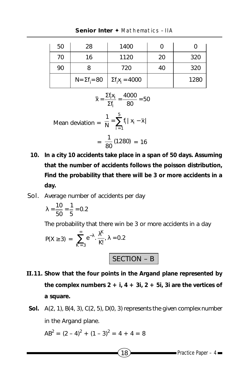| 50 | 28                    | 1400                    |    |      |
|----|-----------------------|-------------------------|----|------|
| 70 | 16                    | 1120                    | 20 | 320  |
| 90 |                       | 720                     | 40 | 320  |
|    | $N = \Sigma f_i = 80$ | $\Sigma f_i x_i = 4000$ |    | 1280 |

**Senior Inter ♦ Mathematics – IIA** 

$$
\overline{x} = \frac{\Sigma f_i x_i}{\Sigma f_i} = \frac{4000}{80} = 50
$$

Mean deviation = 
$$
\frac{1}{N} = \sum_{i=1}^{5} f_i |x_i - \overline{x}|
$$

$$
=\frac{1}{80}(1280)=16
$$

- **10. In a city 10 accidents take place in a span of 50 days. Assuming that the number of accidents follows the poisson distribution, Find the probability that there will be 3 or more accidents in a day.**
- Sol. Average number of accidents per day

$$
\lambda = \frac{10}{50} = \frac{1}{5} = 0.2
$$

The probability that there win be 3 or more accidents in a day

$$
P(X \ge 3) = \sum_{K=3}^{\infty} e^{-\lambda} \cdot \frac{\lambda^{K}}{K!}, \lambda = 0.2
$$

SECTION – B

- **II.11. Show that the four points in the Argand plane represented by the complex numbers 2 + i, 4 + 3i, 2 + 5i, 3i are the vertices of a square.**
- **Sol.** A(2, 1), B(4, 3), C(2, 5), D(0, 3) represents the given complex number in the Argand plane.

$$
AB^2 = (2-4)^2 + (1-3)^2 = 4 + 4 = 8
$$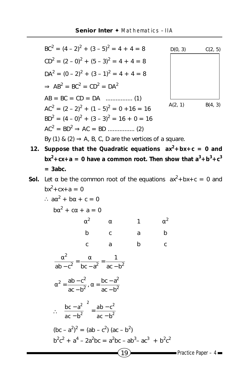$BC<sup>2</sup> = (4-2)<sup>2</sup> + (3-5)<sup>2</sup> = 4 + 4 = 8$  $CD<sup>2</sup> = (2-0)<sup>2</sup> + (5-3)<sup>2</sup> = 4 + 4 = 8$  $DA<sup>2</sup> = (0-2)<sup>2</sup> + (3-1)<sup>2</sup> = 4 + 4 = 8$  $\Rightarrow AB^2 = BC^2 = CD^2 = DA^2$ AB = BC = CD = DA ................ (1)  $AC<sup>2</sup> = (2 - 2)<sup>2</sup> + (1 - 5)<sup>2</sup> = 0 + 16 = 16$  $BD^2 = (4-0)^2 + (3-3)^2 = 16 + 0 = 16$ AC2 = BD<sup>2</sup> ⇒ AC = BD ................ (2)



By (1) & (2)  $\Rightarrow$  A, B, C, D are the vertices of a square.

**12.** Suppose that the Quadratic equations  $ax^2 + bx + c = 0$  and  $bx^2 + cx + a = 0$  have a common root. Then show that  $a^3 + b^3 + c^3$ **= 3abc.**

## **Sol.** Let  $\alpha$  be the common root of the equations  $ax^2 + bx + c = 0$  and  $bx^2 + cx + a = 0$

$$
\therefore a\alpha^{2} + b\alpha + c = 0
$$
  
\n
$$
b\alpha^{2} + c\alpha + a = 0
$$
  
\n
$$
\alpha^{2} \alpha \alpha + b \alpha
$$
  
\n
$$
c \alpha \alpha + b \alpha
$$
  
\n
$$
c \alpha \alpha + b \alpha
$$
  
\n
$$
d^{2} \alpha
$$
  
\n
$$
d^{2} \alpha
$$
  
\n
$$
d^{2} \alpha
$$
  
\n
$$
d^{2} \alpha
$$
  
\n
$$
d^{2} \alpha
$$
  
\n
$$
d^{2} \alpha
$$
  
\n
$$
d^{2} \alpha
$$
  
\n
$$
d^{2} \alpha
$$
  
\n
$$
d^{2} \alpha
$$
  
\n
$$
d^{2} \alpha
$$
  
\n
$$
d^{2} \alpha
$$
  
\n
$$
d^{2} \alpha
$$
  
\n
$$
d^{2} \alpha
$$
  
\n
$$
d^{2} \alpha
$$
  
\n
$$
d^{2} \alpha
$$
  
\n
$$
d^{2} \alpha
$$
  
\n
$$
d^{2} \alpha
$$
  
\n
$$
d^{2} \alpha
$$
  
\n
$$
d^{2} \alpha
$$
  
\n
$$
d^{2} \alpha
$$
  
\n
$$
d^{2} \alpha
$$
  
\n
$$
d^{2} \alpha
$$
  
\n
$$
d^{2} \alpha
$$
  
\n
$$
d^{2} \alpha
$$
  
\n
$$
d^{2} \alpha
$$
  
\n
$$
d^{2} \alpha
$$
  
\n
$$
d^{2} \alpha
$$
  
\n
$$
d^{2} \alpha
$$
  
\n
$$
d^{2} \alpha
$$
  
\n
$$
d^{2} \alpha
$$
  
\n
$$
d^{2} \alpha
$$
  
\n
$$
d^{2} \alpha
$$
  
\n
$$
d^{2} \alpha
$$
  
\n
$$
d^{2} \alpha
$$
  
\n
$$
d^{2} \alpha
$$
  
\n
$$
d^{2} \alpha
$$

$$
\frac{\alpha^2}{ab - c^2} = \frac{\alpha}{bc - a^2} = \frac{1}{ac - b^2}
$$

$$
\alpha^2 = \frac{ab - c^2}{ac - b^2}, \alpha = \frac{bc - a^2}{ac - b^2}
$$

$$
\therefore \left(\frac{bc - a^2}{ac - b^2}\right)^2 = \frac{ab - c^2}{ac - b^2}
$$

$$
(bc - a^2)^2 = (ab - c^2) (ac - b^2)
$$

$$
b2c2 + a4 - 2a2bc = a2bc - ab3 - ac3 + b2c2
$$

$$
[19]
$$

 $\blacksquare$  Practice Paper – 4 $\blacksquare$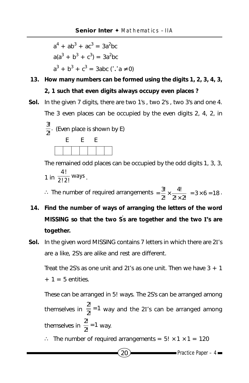$$
a4 + ab3 + ac3 = 3a2bc
$$
  

$$
a(a3 + b3 + c3) = 3a2bc
$$
  

$$
a3 + b3 + c3 = 3abc (\therefore a \neq 0)
$$

- **13. How many numbers can be formed using the digits 1, 2, 3, 4, 3,**
	- **2, 1 such that even digits always occupy even places ?**
- **Sol.** In the given 7 digits, there are two 1's , two 2's , two 3's and one 4. The 3 even places can be occupied by the even digits 2, 4, 2, in  $\frac{3!}{2!}$ . (Even place is shown by E) E E E

The remained odd places can be occupied by the odd digits 1, 3, 3, 1 in  $\frac{4!}{2!2!}$  ways  $\overline{.}$ 

∴ The number of required arrangements  $=\frac{3}{2!} \times \frac{4!}{2! \times 2!} = 3 \times 6 = 18$ 4!  $=\frac{3!}{2!} \times \frac{4!}{2! \times 2!} = 3 \times 6 = 18$ .

- **14. Find the number of ways of arranging the letters of the word MISSING so that the two S' s are together and the two I's are together.**
- **Sol.** In the given word MISSING contains 7 letters in which there are 2I's are a like, 2S's are alike and rest are different.

Treat the 2S's as one unit and 2I's as one unit. Then we have  $3 + 1$  $+ 1 = 5$  entities.

These can be arranged in 5! ways. The 2S's can be arranged among themselves in  $\frac{2}{2!}$  = 1  $\frac{2!}{2!}$  = 1 way and the 2I's can be arranged among themselves in  $\frac{2}{2}$  = 1  $\frac{2!}{3!}$  = 1 way.

∴ The number of required arrangements =  $5! \times 1 \times 1 = 120$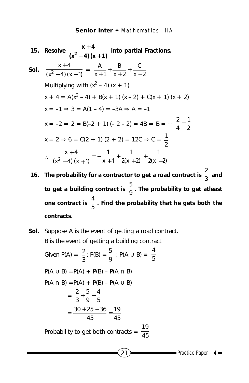15. Resolve 
$$
\frac{x+4}{(x^2-4)(x+1)}
$$
 into partial Fractions.  
\nSoI.  $\frac{x+4}{(x^2-4)(x+1)} = \frac{A}{x+1} + \frac{B}{x+2} + \frac{C}{x-2}$   
\nMultiplying with  $(x^2 - 4) (x + 1)$   
\n $x + 4 = A(x^2 - 4) + B(x + 1) (x - 2) + C(x + 1) (x + 2)$   
\n $x = -1 \Rightarrow 3 = A(1 - 4) = -3A \Rightarrow A = -1$   
\n $x = -2 \Rightarrow 2 = B(-2 + 1) (-2 - 2) = 4B \Rightarrow B = + \frac{2}{4} = \frac{1}{2}$   
\n $x = 2 \Rightarrow 6 = C(2 + 1) (2 + 2) = 12C \Rightarrow C = \frac{1}{2}$   
\n $\therefore \frac{x+4}{(x^2-4)(x+1)} = -\frac{1}{x+1} + \frac{1}{2(x+2)} + \frac{1}{2(x-2)}$ 

- **16.** The probability for a contractor to get a road contract is  $\frac{2}{3}$  and to get a building contract is  $\frac{5}{9}$ . The probability to get atleast one contract is  $\frac{4}{5}$  . Find the probability that he gets both the **contracts.**
- **Sol.** Suppose A is the event of getting a road contract. B is the event of getting a building contract Given P(A) =  $\frac{2}{3}$ ; P(B) =  $\frac{5}{9}$  ; P(A  $\cup$  B) =  $\frac{4}{5}$  $P(A \cup B) = P(A) + P(B) - P(A \cap B)$  $P(A \cap B) = P(A) + P(B) - P(A \cup B)$  $=\frac{2}{3}+\frac{5}{9}-\frac{4}{5}$ 9 5 3  $\frac{2}{2} + \frac{5}{2} =\frac{30+25-36}{45}=\frac{19}{45}$  $\frac{30 + 25 - 36}{45} =$ Probability to get both contracts =  $\frac{19}{45}$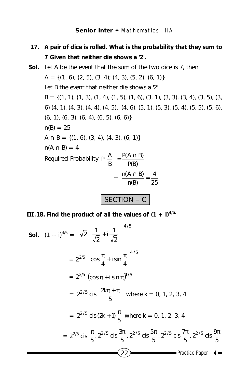- **17. A pair of dice is rolled. What is the probability that they sum to 7 Given that neither die shows a '2'.**
- **Sol.** Let A be the event that the sum of the two dice is 7, then  $A = \{(1, 6), (2, 5), (3, 4), (4, 3), (5, 2), (6, 1)\}\$ Let B the event that neither die shows a '2'  $B = \{(1, 1), (1, 3), (1, 4), (1, 5), (1, 6), (3, 1), (3, 3), (3, 4), (3, 5), (3, 5)\}$ 6) (4, 1), (4, 3), (4, 4), (4, 5), (4, 6), (5, 1), (5, 3), (5, 4), (5, 5), (5, 6),  $(6, 1)$ ,  $(6, 3)$ ,  $(6, 4)$ ,  $(6, 5)$ ,  $(6, 6)$  $n(B) = 25$  $A \cap B = \{(1, 6), (3, 4), (4, 3), (6, 1)\}\$  $n(A \cap B) = 4$ Required Probability  $P\left(\frac{A}{B}\right) = \frac{P(A \cap B)}{P(B)}$  $P\left(\frac{A}{B}\right) = \frac{P(A \cap B)}{P(B)}$  $\overline{1}$  $\left(\frac{A}{B}\right)$ l ſ  $=\frac{n(A \cap B)}{n(B)} = \frac{4}{25}$  $\frac{n(A \cap B)}{n(B)} =$

## SECTION – C

**III.**18. Find the product of all the values of  $(1 + i)^{4/5}$ .

**Sol.** 
$$
(1 + i)^{4/5} = \left[\sqrt{2}\left(\frac{1}{\sqrt{2}} + i\frac{1}{\sqrt{2}}\right)\right]^{4/5}
$$
  
\n
$$
= 2^{2/5} \left(\cos \frac{\pi}{4} + i \sin \frac{\pi}{4}\right)^{4/5}
$$
\n
$$
= 2^{2/5} \left(\cos \pi + i \sin \pi\right)^{1/5}
$$
\n
$$
= 2^{2/5} \text{ cis}\left(\frac{2k\pi + \pi}{5}\right) \text{ where } k = 0, 1, 2, 3, 4
$$
\n
$$
= 2^{2/5} \text{ cis } (2k + 1) \frac{\pi}{5} \text{ where } k = 0, 1, 2, 3, 4
$$
\n
$$
= 2^{2/5} \text{ cis } \frac{\pi}{5}, 2^{2/5} \text{ cis } \frac{3\pi}{5}, 2^{2/5} \text{ cis } \frac{5\pi}{5}, 2^{2/5} \text{ cis } \frac{7\pi}{5}, 2^{2/5} \text{ cis } \frac{9\pi}{5}
$$
\n
$$
\boxed{22}
$$
\nPractice Paper - 4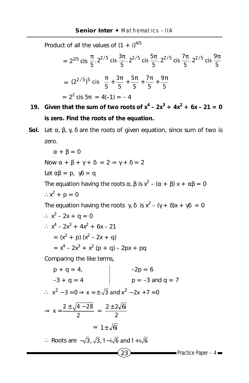Product of all the values of  $(1 + i)^{4/5}$ 

$$
= 2^{2/5} \operatorname{cis} \frac{\pi}{5} \cdot 2^{2/5} \operatorname{cis} \frac{3\pi}{5} \cdot 2^{2/5} \operatorname{cis} \frac{5\pi}{5} \cdot 2^{2/5} \operatorname{cis} \frac{7\pi}{5} \cdot 2^{2/5} \operatorname{cis} \frac{9\pi}{5}
$$

$$
= (2^{2/5})^5 \operatorname{cis} \left( \frac{\pi}{5} + \frac{3\pi}{5} + \frac{5\pi}{5} + \frac{7\pi}{5} + \frac{9\pi}{5} \right)
$$

$$
= 2^2 \operatorname{cis} 5\pi = 4(-1) = -4
$$

- **19.** Given that the sum of two roots of  $x^4 2x^3 + 4x^2 + 6x 21 = 0$ **is zero. Find the roots of the equation.**
- **Sol.** Let  $\alpha$ ,  $\beta$ ,  $\gamma$ ,  $\delta$  are the roots of given equation, since sum of two is zero.

 $23$  Practice Paper – 4  $\alpha + \beta = 0$ Now  $\alpha + \beta + \gamma + \delta = 2 \Rightarrow \gamma + \delta = 2$ Let  $\alpha\beta = p$ ,  $\gamma\delta = q$ The equation having the roots α,  $\beta$  is x<sup>2</sup> – (α +  $\beta$ ) x + α $\beta$  = 0  $\therefore x^2 + p = 0$ The equation having the roots  $\gamma$ , δ is  $x^2 - (\gamma + \delta)x + \gamma\delta = 0$ ∴  $x^2 - 2x + q = 0$ ∴  $x^4 - 2x^3 + 4x^2 + 6x - 21$  $= (x<sup>2</sup> + p) (x<sup>2</sup> – 2x + q)$  $= x<sup>4</sup> - 2x<sup>3</sup> + x<sup>2</sup>$  (p + q) – 2px + pq Comparing the like terms,  $p + q = 4$ ,  $-2p = 6$  $-3 + q = 4$  p =  $-3$  and q = 7  $\therefore$   $x^2 - 3 = 0 \Rightarrow x = \pm \sqrt{3}$  and  $x^2 - 2x + 7 = 0$  $\Rightarrow$  x =  $\frac{2 \pm \sqrt{4 - 28}}{2}$  =  $\frac{2 \pm 2\sqrt{61}}{2}$  $= 1 \pm \sqrt{6i}$ ∴ Roots are  $-\sqrt{3}$ ,  $\sqrt{3}$ , 1 – i $\sqrt{6}$  and 1 + i $\sqrt{6}$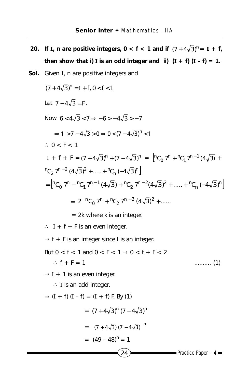- **20.** If **I**, **n** are positive integers,  $0 < f < 1$  and if  $(7 + 4\sqrt{3})^n = I + f$ , **then show that i) I** is an odd integer and ii)  $(I + f)(I - f) = 1$ .
- Sol. Given I, n are positive integers and

$$
(7 + 4\sqrt{3})^n = I + f, 0 < f < 1
$$
  
\nLet  $7 - 4\sqrt{3} = F$ .  
\nNow  $6 < 4\sqrt{3} < 7 \Rightarrow -6 > -4\sqrt{3} > -7$   
\n $\Rightarrow 1 > 7 - 4\sqrt{3} > 0 \Rightarrow 0 < (7 - 4\sqrt{3})^n < 1$   
\n $\therefore 0 < F < 1$   
\n $I + f + F = (7 + 4\sqrt{3})^n + (7 - 4\sqrt{3})^n = \left[ {}^nC_0 7^n + {}^nC_1 7^{n-1} (4\sqrt{3}) + {}^nC_2 7^{n-2} (4\sqrt{3})^2 + \dots + {}^nC_n (-4\sqrt{3})^n \right]$   
\n $= \left[ {}^nC_0 7^n - {}^nC_1 7^{n-1} (4\sqrt{3}) + {}^nC_2 7^{n-2} (4\sqrt{3})^2 + \dots + {}^nC_n (-4\sqrt{3})^n \right]$   
\n $= 2 \left[ {}^nC_0 7^n + {}^nC_2 7^{n-2} (4\sqrt{3})^2 + \dots \right]$   
\n $= 2k$  where k is an integer.

∴ I +  $f$  + F is an even integer.

 $\Rightarrow$  f + F is an integer since I is an integer.

But 0 < f < 1 and 0 < F < 1 ⇒ 0 < f + F < 2 ∴ f + F = 1 .......... (1)

 $\Rightarrow$  I + 1 is an even integer.

∴ I is an add integer.

$$
\Rightarrow (I + f) (I - f) = (I + f) F, By (1)
$$
  
=  $(7 + 4\sqrt{3})^n (7 - 4\sqrt{3})^n$   
=  $[(7 + 4\sqrt{3}) (7 - 4\sqrt{3})]^n$   
=  $(49 - 48)^n = 1$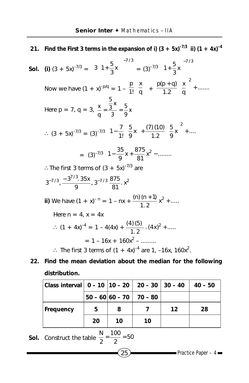**21.** Find the First 3 terms in the expansion of i)  $(3 + 5x)^{-7/3}$  ii)  $(1 + 4x)^{-4}$ **Sol.** (i)  $(3 + 5x)^{-7/3} =$ 7 / 3  $3\left(1+\frac{5}{3}x\right)\right]^{-}$  $3\left(1+\frac{5}{3}x\right)$  $3(1+\frac{5}{2}x)$  $\overline{\phantom{a}}$  $\left(1+\frac{5}{6}x\right)$  $\left(1+\frac{5}{3}x\right)\right]^{-1/3} = (3)^{-7/3}\left(1+\frac{5}{3}x\right)^{-7/3}$  $\left(1+\frac{5}{3}x\right)$ J  $\big)$  $\left(1+\frac{5}{6}x\right)$ l  $\left(1+\right.$ Now we have  $(1 + x)^{-p/q} = 1 - \frac{p}{11} \left| \frac{\lambda}{q} \right|$  $\overline{1}$ ľ I l ſ q x 1!  $\frac{p}{1!} \left( \frac{x}{q} \right) + \frac{p(p+q)}{1.2} \left( \frac{x}{q} \right)^2 + \dots$ 1.2  $p(p+q)$   $\left(x\right)^2$  $| +$  $\overline{1}$  $\overline{a}$ I l + q) ( Here  $p = 7$ ,  $q = 3$ ,  $\frac{p}{q} = \frac{3}{2}$  $\frac{x}{q} = \frac{\frac{5}{3}x}{3} = \frac{5}{9}x$ ∴  $(3 + 5x)^{-7/3}$  =  $(3)^{-7/3}$   $\left| \frac{1 - \frac{1}{1!} \left( \frac{1}{9} x \right) + \frac{1}{1 \cdot 2} \left( \frac{1}{9} x \right) + \dots \right|$ I J I L L L L  $| +$  $\overline{\phantom{a}}$  $\left(\frac{5}{5}\right)$ l  $+\frac{(7)(10)}{18}$  $\big)$  $\left(\frac{5}{5}\right)$  x  $-\frac{7}{1!}\left(\frac{5}{9}x\right)+\frac{(7)(10)}{1.2}\left(\frac{5}{9}x\right)^2+...$  $\left(\frac{5}{9}x\right) + \frac{(7)(10)}{1.2}$ 5  $1 - \frac{7}{1!} \left( \frac{5}{9} x \right) + \frac{(7)(10)}{1.2} \left( \frac{5}{9} x \right)^2$  $= (3)^{-7/3} \left[ 1 - \frac{35}{9} x + \frac{875}{81} x^2 - \dots \right]$ ∴The first 3 terms of  $(3 + 5x)^{-7/3}$  are  $3^{-7/3}, \frac{-3^{7/3} \cdot 35x}{9}$ ,  $3^{-7/3} \frac{875}{81}$ .  $x^2$ **ii)** We have  $(1 + x)^{-n} = 1 - nx + \frac{(n) (n + 1)}{1 \cdot 2} x^2 + \dots$ Here  $n = 4$ ,  $x = 4x$ ∴  $(1 + 4x)^{-4} = 1 - 4(4x) + \frac{(4)(5)}{1 \cdot 2}$ .  $(4x)^2 +$  .....  $= 1 - 16x + 160x^2 - \dots$ ∴ The first 3 terms of  $(1 + 4x)^{-4}$  are 1, -16x, 160x<sup>2</sup>.

## **22. Find the mean deviation about the median for the following distribution.**

| Class interval   $0 - 10$   $10 - 20$   $20 - 30$   $30 - 40$ |    |    |                           |    | $40 - 50$ |
|---------------------------------------------------------------|----|----|---------------------------|----|-----------|
|                                                               |    |    | $50 - 60 60 - 70 70 - 80$ |    |           |
| <b>Frequency</b>                                              | 5  | 8  |                           | 12 | 28        |
|                                                               | 20 | 10 | 10                        |    |           |

**Sol.** Construct the table 
$$
\frac{N}{2} = \frac{100}{2} = 50
$$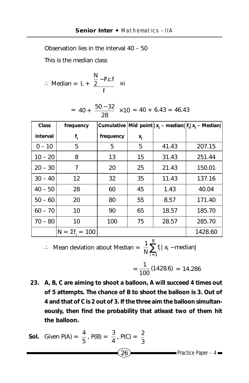Observation lies in the interval 40 – 50

This is the median class

$$
\therefore \text{ Median} = L + \left\{ \frac{N}{2} - P.c.f \atop f \right\} \times i
$$
  
= 40 +  $\left\{ \frac{50 - 32}{28} \right\} \times 10 = 40 + 6.43 = 46.43$ 

| <b>Class</b> | frequency            |           |       |       | Cumulative Mid point $  x_i - \text{median}  f_i x_i - \text{Median}  $ |
|--------------|----------------------|-----------|-------|-------|-------------------------------------------------------------------------|
| interval     | $f_i$                | frequency | $x_i$ |       |                                                                         |
| $0 - 10$     | 5                    | 5         | 5     | 41.43 | 207.15                                                                  |
| $10 - 20$    | 8                    | 13        | 15    | 31.43 | 251.44                                                                  |
| $20 - 30$    | 7                    | 20        | 25    | 21.43 | 150.01                                                                  |
| $30 - 40$    | $12 \overline{ }$    | 32        | 35    | 11.43 | 137.16                                                                  |
| $40 - 50$    | 28                   | 60        | 45    | 1.43  | 40.04                                                                   |
| $50 - 60$    | 20                   | 80        | 55    | 8.57  | 171.40                                                                  |
| $60 - 70$    | 10                   | 90        | 65    | 18.57 | 185.70                                                                  |
| $70 - 80$    | 10                   | 100       | 75    | 28.57 | 285.70                                                                  |
|              | $N = \Sigma f = 100$ |           |       |       | 1428.60                                                                 |

∴ Mean deviation about Median =  $\frac{1}{N} \sum_{i=1}^{6} f_i |x_i - \text{median}|$ 8  $\sum_{i=1}$ f<sub>i</sub> | x<sub>i</sub> –

$$
=\frac{1}{100}(1428.6)=14.286
$$

**23. A, B, C are aiming to shoot a balloon, A will succeed 4 times out of 5 attempts. The chance of B to shoot the balloon is 3. Out of 4 and that of C is 2 out of 3. If the three aim the balloon simultaneously, then find the probability that atleast two of them hit the balloon.**

**Sol.** Given P(A) = 
$$
\frac{4}{5}
$$
, P(B) =  $\frac{3}{4}$ , P(C) =  $\frac{2}{3}$   
(26) Practice Paper - 4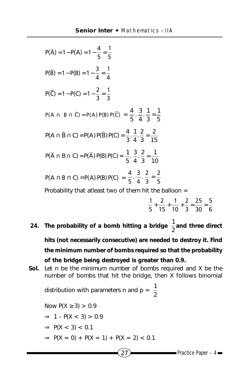$P(\overline{A}) = 1 - P(A) = 1 - \frac{4}{5} = \frac{1}{5}$  $P(\overline{B}) = 1 - P(B) = 1 - \frac{3}{4} = \frac{1}{4}$  $P(\overline{C}) = 1 - P(C) = 1 - \frac{2}{3} = \frac{1}{3}$  $P(A \cap B \cap \overline{C}) = P(A) P(B) P(\overline{C}) = \frac{4}{5} \cdot \frac{3}{4} \cdot \frac{1}{3} = \frac{1}{5}$ 3  $\frac{3}{4} \cdot \frac{1}{3}$  $\frac{4}{5} \cdot \frac{3}{4} \cdot \frac{1}{3} =$ 15 2 3  $\frac{1}{4} \cdot \frac{2}{3}$  $P(A \cap \overline{B} \cap C) = P(A) P(\overline{B}) P(C) = \frac{4}{3} \cdot \frac{1}{4} \cdot \frac{2}{3} =$  $P(\overline{A} \cap B \cap C) = P(\overline{A}) P(B) P(C) = \frac{1}{5} \cdot \frac{3}{4} \cdot \frac{2}{3} = \frac{1}{10}$ 3  $\frac{3}{4} \cdot \frac{2}{3}$  $\frac{1}{5}$ .  $\frac{3}{4}$ .  $\frac{2}{3}$  =  $P(A \cap B \cap C) = P(A) P(B) P(C) = \frac{4}{5} \cdot \frac{3}{4} \cdot \frac{2}{3} = \frac{2}{5}$ Probability that atleast two of them hit the balloon  $=$ 

- $\frac{1}{2} + \frac{2}{15} + \frac{1}{10} + \frac{2}{2} = \frac{25}{20} = \frac{5}{6}$ 5 15 10 3 30 6
- 24. The probability of a bomb hitting a bridge  $\frac{1}{2}$  and three direct **hits (not necessarily consecutive) are needed to destroy it. Find the minimum number of bombs required so that the probability of the bridge being destroyed is greater than 0.9.**
- **Sol.** Let n be the minimum number of bombs required and X be the number of bombs that hit the bridge, then X follows binomial

distribution with parameters n and  $p = \frac{1}{2}$ 

Now  $P(X ≥ 3) > 0.9$  $\Rightarrow$  1 – P(X < 3) > 0.9

- $\Rightarrow$  P(X < 3) < 0.1
- $\Rightarrow$  P(X = 0) + P(X = 1) + P(X = 2) < 0.1

$$
(27) \qquad \qquad \text{Practice Paper} - 4 \qquad \qquad
$$